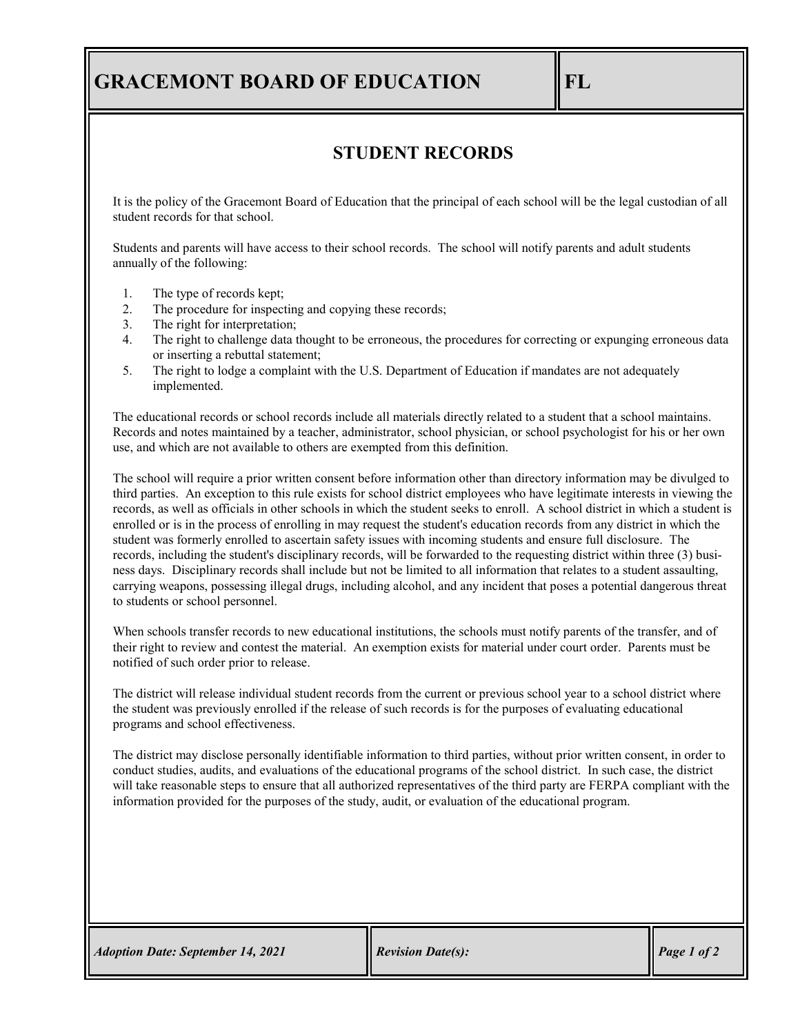## **GRACEMONT BOARD OF EDUCATION FL**

## **STUDENT RECORDS**

It is the policy of the Gracemont Board of Education that the principal of each school will be the legal custodian of all student records for that school.

Students and parents will have access to their school records. The school will notify parents and adult students annually of the following:

- 1. The type of records kept;
- 2. The procedure for inspecting and copying these records;
- 3. The right for interpretation;
- 4. The right to challenge data thought to be erroneous, the procedures for correcting or expunging erroneous data or inserting a rebuttal statement;
- 5. The right to lodge a complaint with the U.S. Department of Education if mandates are not adequately implemented.

The educational records or school records include all materials directly related to a student that a school maintains. Records and notes maintained by a teacher, administrator, school physician, or school psychologist for his or her own use, and which are not available to others are exempted from this definition.

The school will require a prior written consent before information other than directory information may be divulged to third parties. An exception to this rule exists for school district employees who have legitimate interests in viewing the records, as well as officials in other schools in which the student seeks to enroll. A school district in which a student is enrolled or is in the process of enrolling in may request the student's education records from any district in which the student was formerly enrolled to ascertain safety issues with incoming students and ensure full disclosure. The records, including the student's disciplinary records, will be forwarded to the requesting district within three (3) business days. Disciplinary records shall include but not be limited to all information that relates to a student assaulting, carrying weapons, possessing illegal drugs, including alcohol, and any incident that poses a potential dangerous threat to students or school personnel.

When schools transfer records to new educational institutions, the schools must notify parents of the transfer, and of their right to review and contest the material. An exemption exists for material under court order. Parents must be notified of such order prior to release.

The district will release individual student records from the current or previous school year to a school district where the student was previously enrolled if the release of such records is for the purposes of evaluating educational programs and school effectiveness.

The district may disclose personally identifiable information to third parties, without prior written consent, in order to conduct studies, audits, and evaluations of the educational programs of the school district. In such case, the district will take reasonable steps to ensure that all authorized representatives of the third party are FERPA compliant with the information provided for the purposes of the study, audit, or evaluation of the educational program.